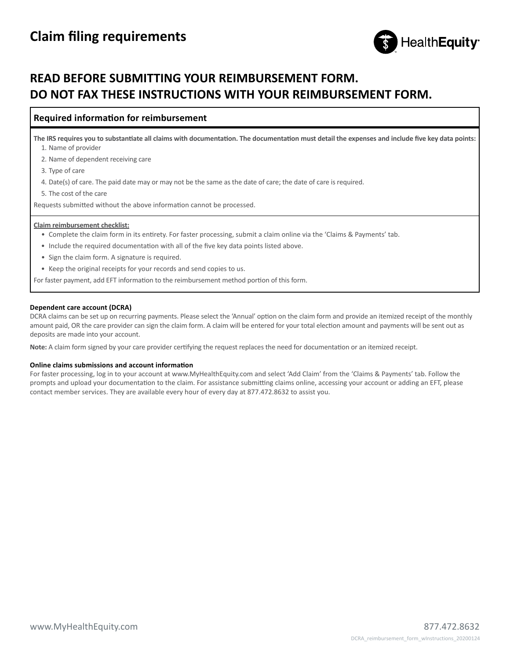

# **READ BEFORE SUBMITTING YOUR REIMBURSEMENT FORM. DO NOT FAX THESE INSTRUCTIONS WITH YOUR REIMBURSEMENT FORM.**

### **Required information for reimbursement**

**The IRS requires you to substantiate all claims with documentation. The documentation must detail the expenses and include five key data points:**  1. Name of provider

2. Name of dependent receiving care

3. Type of care

4. Date(s) of care. The paid date may or may not be the same as the date of care; the date of care is required.

5. The cost of the care

Requests submitted without the above information cannot be processed.

#### **Claim reimbursement checklist:**

- Complete the claim form in its entirety. For faster processing, submit a claim online via the 'Claims & Payments' tab.
- Include the required documentation with all of the five key data points listed above.
- Sign the claim form. A signature is required.
- Keep the original receipts for your records and send copies to us.

For faster payment, add EFT information to the reimbursement method portion of this form.

#### **Dependent care account (DCRA)**

DCRA claims can be set up on recurring payments. Please select the 'Annual' option on the claim form and provide an itemized receipt of the monthly amount paid, OR the care provider can sign the claim form. A claim will be entered for your total election amount and payments will be sent out as deposits are made into your account.

**Note:** A claim form signed by your care provider certifying the request replaces the need for documentation or an itemized receipt.

#### **Online claims submissions and account information**

For faster processing, log in to your account at www.MyHealthEquity.com and select 'Add Claim' from the 'Claims & Payments' tab. Follow the prompts and upload your documentation to the claim. For assistance submitting claims online, accessing your account or adding an EFT, please contact member services. They are available every hour of every day at 877.472.8632 to assist you.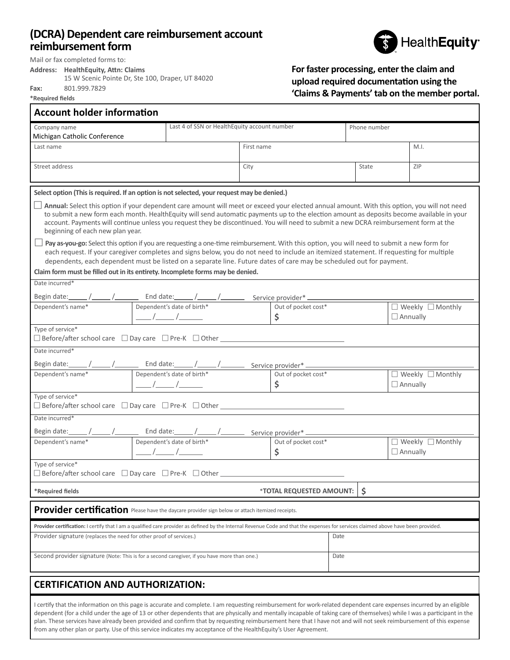## **(DCRA) Dependent care reimbursement account reimbursement form**



Mail or fax completed forms to:

**Address: HealthEquity, Attn: Claims**

15 W Scenic Pointe Dr, Ste 100, Draper, UT 84020 **Fax:** 801.999.7829

**\*Required fields**

г

### **For faster processing, enter the claim and upload required documentation using the 'Claims & Payments' tab on the member portal.**

| <b>Account holder information</b>                                                                                                                                                                                                                                                                                                                                                                                                                                      |                               |                                                                                                                                                                                                                                                                                                                                                                                                                           |            |                           |              |                              |      |                                                                                                                                                                                                                                                                                                                                                                                                                          |  |
|------------------------------------------------------------------------------------------------------------------------------------------------------------------------------------------------------------------------------------------------------------------------------------------------------------------------------------------------------------------------------------------------------------------------------------------------------------------------|-------------------------------|---------------------------------------------------------------------------------------------------------------------------------------------------------------------------------------------------------------------------------------------------------------------------------------------------------------------------------------------------------------------------------------------------------------------------|------------|---------------------------|--------------|------------------------------|------|--------------------------------------------------------------------------------------------------------------------------------------------------------------------------------------------------------------------------------------------------------------------------------------------------------------------------------------------------------------------------------------------------------------------------|--|
| Company name                                                                                                                                                                                                                                                                                                                                                                                                                                                           |                               | Last 4 of SSN or HealthEquity account number                                                                                                                                                                                                                                                                                                                                                                              |            |                           | Phone number |                              |      |                                                                                                                                                                                                                                                                                                                                                                                                                          |  |
| Michigan Catholic Conference                                                                                                                                                                                                                                                                                                                                                                                                                                           |                               |                                                                                                                                                                                                                                                                                                                                                                                                                           |            |                           |              |                              |      |                                                                                                                                                                                                                                                                                                                                                                                                                          |  |
| Last name                                                                                                                                                                                                                                                                                                                                                                                                                                                              |                               |                                                                                                                                                                                                                                                                                                                                                                                                                           | First name |                           |              |                              | M.I. |                                                                                                                                                                                                                                                                                                                                                                                                                          |  |
| Street address                                                                                                                                                                                                                                                                                                                                                                                                                                                         |                               | City                                                                                                                                                                                                                                                                                                                                                                                                                      |            |                           | State        |                              | ZIP  |                                                                                                                                                                                                                                                                                                                                                                                                                          |  |
|                                                                                                                                                                                                                                                                                                                                                                                                                                                                        |                               |                                                                                                                                                                                                                                                                                                                                                                                                                           |            |                           |              |                              |      |                                                                                                                                                                                                                                                                                                                                                                                                                          |  |
| Select option (This is required. If an option is not selected, your request may be denied.)                                                                                                                                                                                                                                                                                                                                                                            |                               |                                                                                                                                                                                                                                                                                                                                                                                                                           |            |                           |              |                              |      |                                                                                                                                                                                                                                                                                                                                                                                                                          |  |
| Annual: Select this option if your dependent care amount will meet or exceed your elected annual amount. With this option, you will not need<br>to submit a new form each month. HealthEquity will send automatic payments up to the election amount as deposits become available in your<br>account. Payments will continue unless you request they be discontinued. You will need to submit a new DCRA reimbursement form at the<br>beginning of each new plan year. |                               |                                                                                                                                                                                                                                                                                                                                                                                                                           |            |                           |              |                              |      |                                                                                                                                                                                                                                                                                                                                                                                                                          |  |
| <b>□ Pay as-you-go:</b> Select this option if you are requesting a one-time reimbursement. With this option, you will need to submit a new form for<br>each request. If your caregiver completes and signs below, you do not need to include an itemized statement. If requesting for multiple<br>dependents, each dependent must be listed on a separate line. Future dates of care may be scheduled out for payment.                                                 |                               |                                                                                                                                                                                                                                                                                                                                                                                                                           |            |                           |              |                              |      |                                                                                                                                                                                                                                                                                                                                                                                                                          |  |
| Claim form must be filled out in its entirety. Incomplete forms may be denied.                                                                                                                                                                                                                                                                                                                                                                                         |                               |                                                                                                                                                                                                                                                                                                                                                                                                                           |            |                           |              |                              |      |                                                                                                                                                                                                                                                                                                                                                                                                                          |  |
| Date incurred*                                                                                                                                                                                                                                                                                                                                                                                                                                                         |                               |                                                                                                                                                                                                                                                                                                                                                                                                                           |            |                           |              |                              |      |                                                                                                                                                                                                                                                                                                                                                                                                                          |  |
|                                                                                                                                                                                                                                                                                                                                                                                                                                                                        |                               |                                                                                                                                                                                                                                                                                                                                                                                                                           |            |                           |              |                              |      |                                                                                                                                                                                                                                                                                                                                                                                                                          |  |
|                                                                                                                                                                                                                                                                                                                                                                                                                                                                        |                               |                                                                                                                                                                                                                                                                                                                                                                                                                           |            |                           |              |                              |      | $\sqrt{\frac{1}{\sqrt{1-\frac{1}{1-\frac{1}{1-\frac{1}{1-\frac{1}{1-\frac{1}{1-\frac{1}{1-\frac{1}{1-\frac{1}{1-\frac{1}{1-\frac{1}{1-\frac{1}{1-\frac{1}{1-\frac{1}{1-\frac{1}{1-\frac{1}{1-\frac{1}{1-\frac{1}{1-\frac{1}{1-\frac{1}{1-\frac{1}{1-\frac{1}{1-\frac{1}{1-\frac{1}{1-\frac{1}{1-\frac{1}{1-\frac{1}{1-\frac{1}{1-\frac{1}{1-\frac{1}{1-\frac{1}{1-\frac{1}{1-\frac{1}{1-\frac{1}{1-\frac{1}{1-\frac{1}{$ |  |
|                                                                                                                                                                                                                                                                                                                                                                                                                                                                        |                               | $\frac{1}{\sqrt{1-\frac{1}{1-\frac{1}{1-\frac{1}{1-\frac{1}{1-\frac{1}{1-\frac{1}{1-\frac{1}{1-\frac{1}{1-\frac{1}{1-\frac{1}{1-\frac{1}{1-\frac{1}{1-\frac{1}{1-\frac{1}{1-\frac{1}{1-\frac{1}{1-\frac{1}{1-\frac{1}{1-\frac{1}{1-\frac{1}{1-\frac{1}{1-\frac{1}{1-\frac{1}{1-\frac{1}{1-\frac{1}{1-\frac{1}{1-\frac{1}{1-\frac{1}{1-\frac{1}{1-\frac{1}{1-\frac{1}{1-\frac{1}{1-\frac{1}{1-\frac{1}{1-\frac{1}{1-\$     |            | \$                        |              |                              |      | $\Box$ Annually                                                                                                                                                                                                                                                                                                                                                                                                          |  |
| Type of service*                                                                                                                                                                                                                                                                                                                                                                                                                                                       |                               |                                                                                                                                                                                                                                                                                                                                                                                                                           |            |                           |              |                              |      |                                                                                                                                                                                                                                                                                                                                                                                                                          |  |
| Date incurred*                                                                                                                                                                                                                                                                                                                                                                                                                                                         |                               |                                                                                                                                                                                                                                                                                                                                                                                                                           |            |                           |              |                              |      |                                                                                                                                                                                                                                                                                                                                                                                                                          |  |
|                                                                                                                                                                                                                                                                                                                                                                                                                                                                        |                               |                                                                                                                                                                                                                                                                                                                                                                                                                           |            |                           |              |                              |      |                                                                                                                                                                                                                                                                                                                                                                                                                          |  |
| Dependent's name*                                                                                                                                                                                                                                                                                                                                                                                                                                                      |                               |                                                                                                                                                                                                                                                                                                                                                                                                                           |            | Out of pocket cost*       |              | $\Box$ Weekly $\Box$ Monthly |      |                                                                                                                                                                                                                                                                                                                                                                                                                          |  |
|                                                                                                                                                                                                                                                                                                                                                                                                                                                                        |                               | $\frac{1}{\sqrt{2\pi}}$                                                                                                                                                                                                                                                                                                                                                                                                   |            | \$                        |              |                              |      | $\Box$ Annually                                                                                                                                                                                                                                                                                                                                                                                                          |  |
| Type of service*                                                                                                                                                                                                                                                                                                                                                                                                                                                       |                               |                                                                                                                                                                                                                                                                                                                                                                                                                           |            |                           |              |                              |      |                                                                                                                                                                                                                                                                                                                                                                                                                          |  |
| Date incurred*                                                                                                                                                                                                                                                                                                                                                                                                                                                         |                               |                                                                                                                                                                                                                                                                                                                                                                                                                           |            |                           |              |                              |      |                                                                                                                                                                                                                                                                                                                                                                                                                          |  |
| Begin date: / / / / / End date: / / / / Service provider* /                                                                                                                                                                                                                                                                                                                                                                                                            |                               |                                                                                                                                                                                                                                                                                                                                                                                                                           |            |                           |              |                              |      |                                                                                                                                                                                                                                                                                                                                                                                                                          |  |
| Dependent's name*                                                                                                                                                                                                                                                                                                                                                                                                                                                      |                               | Dependent's date of birth*                                                                                                                                                                                                                                                                                                                                                                                                |            | Out of pocket cost*<br>\$ |              |                              |      | $\Box$ Weekly $\Box$ Monthly<br>$\Box$ Annually                                                                                                                                                                                                                                                                                                                                                                          |  |
|                                                                                                                                                                                                                                                                                                                                                                                                                                                                        |                               | $\frac{\frac{1}{1-\frac{1}{1-\frac{1}{1-\frac{1}{1-\frac{1}{1-\frac{1}{1-\frac{1}{1-\frac{1}{1-\frac{1}{1-\frac{1}{1-\frac{1}{1-\frac{1}{1-\frac{1}{1-\frac{1}{1-\frac{1}{1-\frac{1}{1-\frac{1}{1-\frac{1}{1-\frac{1}{1-\frac{1}{1-\frac{1}{1-\frac{1}{1-\frac{1}{1-\frac{1}{1-\frac{1}{1-\frac{1}{1-\frac{1}{1-\frac{1}{1-\frac{1}{1-\frac{1}{1-\frac{1}{1-\frac{1}{1-\frac{1}{1-\frac{1}{1-\frac{1}{1-\frac{1}{1-\frac$ |            |                           |              |                              |      |                                                                                                                                                                                                                                                                                                                                                                                                                          |  |
| Type of service*<br>$\Box$ Before/after school care $\Box$ Day care $\Box$ Pre-K $\Box$ Other $\Box$                                                                                                                                                                                                                                                                                                                                                                   |                               |                                                                                                                                                                                                                                                                                                                                                                                                                           |            |                           |              |                              |      |                                                                                                                                                                                                                                                                                                                                                                                                                          |  |
| *Required fields                                                                                                                                                                                                                                                                                                                                                                                                                                                       | Ş<br>*TOTAL REQUESTED AMOUNT: |                                                                                                                                                                                                                                                                                                                                                                                                                           |            |                           |              |                              |      |                                                                                                                                                                                                                                                                                                                                                                                                                          |  |
| Provider certification Please have the daycare provider sign below or attach itemized receipts.                                                                                                                                                                                                                                                                                                                                                                        |                               |                                                                                                                                                                                                                                                                                                                                                                                                                           |            |                           |              |                              |      |                                                                                                                                                                                                                                                                                                                                                                                                                          |  |
| Provider certification: I certify that I am a qualified care provider as defined by the Internal Revenue Code and that the expenses for services claimed above have been provided.                                                                                                                                                                                                                                                                                     |                               |                                                                                                                                                                                                                                                                                                                                                                                                                           |            |                           |              |                              |      |                                                                                                                                                                                                                                                                                                                                                                                                                          |  |
| Provider signature (replaces the need for other proof of services.)                                                                                                                                                                                                                                                                                                                                                                                                    |                               |                                                                                                                                                                                                                                                                                                                                                                                                                           |            |                           |              | Date                         |      |                                                                                                                                                                                                                                                                                                                                                                                                                          |  |
| Second provider signature (Note: This is for a second caregiver, if you have more than one.)                                                                                                                                                                                                                                                                                                                                                                           |                               |                                                                                                                                                                                                                                                                                                                                                                                                                           |            | Date                      |              |                              |      |                                                                                                                                                                                                                                                                                                                                                                                                                          |  |
| <b>CERTIFICATION AND AUTHORIZATION:</b>                                                                                                                                                                                                                                                                                                                                                                                                                                |                               |                                                                                                                                                                                                                                                                                                                                                                                                                           |            |                           |              |                              |      |                                                                                                                                                                                                                                                                                                                                                                                                                          |  |
|                                                                                                                                                                                                                                                                                                                                                                                                                                                                        |                               |                                                                                                                                                                                                                                                                                                                                                                                                                           |            |                           |              |                              |      |                                                                                                                                                                                                                                                                                                                                                                                                                          |  |

I certify that the information on this page is accurate and complete. I am requesting reimbursement for work-related dependent care expenses incurred by an eligible dependent (for a child under the age of 13 or other dependents that are physically and mentally incapable of taking care of themselves) while I was a participant in the plan. These services have already been provided and confirm that by requesting reimbursement here that I have not and will not seek reimbursement of this expense from any other plan or party. Use of this service indicates my acceptance of the HealthEquity's User Agreement.